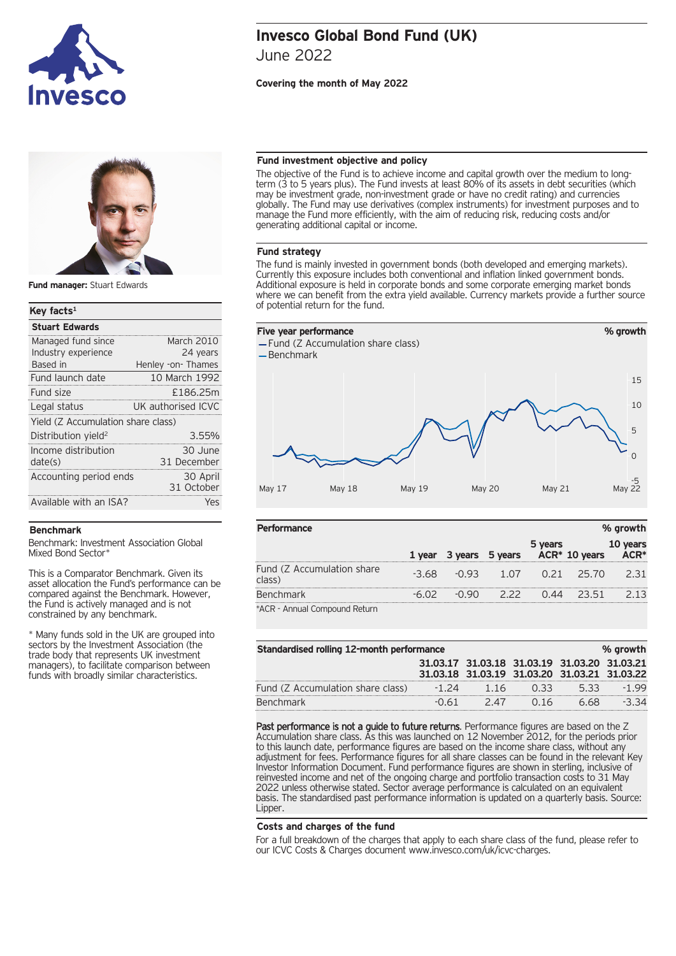



**Fund manager:** Stuart Edwards

## **Key facts1** Managed fund since March 2010 Industry experience 24 years Based in **Henley -on- Thames Stuart Edwards** Fund launch date 10 March 1992 Fund size £186.25m Legal status UK authorised ICVC Yield (Z Accumulation share class) Distribution vield<sup>2</sup> 3.55% Income distribution date(s) 30 June 31 December Accounting period ends 30 April 31 October Available with an ISA? Yes

#### **Benchmark**

Benchmark: Investment Association Global Mixed Bond Sector\*

This is a Comparator Benchmark. Given its asset allocation the Fund's performance can be compared against the Benchmark. However, the Fund is actively managed and is not constrained by any benchmark.

\* Many funds sold in the UK are grouped into sectors by the Investment Association (the trade body that represents UK investment managers), to facilitate comparison between funds with broadly similar characteristics.

# **Invesco Global Bond Fund (UK)** June 2022

## **Covering the month of May 2022**

## **Fund investment objective and policy**

The objective of the Fund is to achieve income and capital growth over the medium to longterm (3 to 5 years plus). The Fund invests at least 80% of its assets in debt securities (which may be investment grade, non-investment grade or have no credit rating) and currencies globally. The Fund may use derivatives (complex instruments) for investment purposes and to manage the Fund more efficiently, with the aim of reducing risk, reducing costs and/or generating additional capital or income.

#### **Fund strategy**

The fund is mainly invested in government bonds (both developed and emerging markets).<br>Currently this exposure includes both conventional and inflation linked government bonds.<br>Additional exposure is held in corporate bond where we can benefit from the extra yield available. Currency markets provide a further source of potential return for the fund.



| Performance                          |        |         |         |         |                           | % growth      |
|--------------------------------------|--------|---------|---------|---------|---------------------------|---------------|
|                                      | 1 year | 3 years | 5 years | 5 years | ACR <sup>*</sup> 10 years | years<br>ACR* |
| Fund (Z Accumulation share<br>class) | $-368$ | -0.93   | 1.OZ    | O 21    | - 25.70                   | 2 3 1         |
| <b>Benchmark</b>                     |        |         |         |         | しら1                       | 2 1 3         |
| *ACR - Annual Compound Return        |        |         |         |         |                           |               |

| Standardised rolling 12-month performance<br>% growth |         |     |                                              |      |       |
|-------------------------------------------------------|---------|-----|----------------------------------------------|------|-------|
|                                                       |         |     | 31.03.17 31.03.18 31.03.19 31.03.20 31.03.21 |      |       |
|                                                       |         |     | 31.03.18 31.03.19 31.03.20 31.03.21 31.03.22 |      |       |
| Fund (Z Accumulation share class)                     | $-1.74$ | 116 | 0.33                                         | 533  | -1.99 |
| <b>Benchmark</b>                                      | $-0.61$ | 247 | 0.16                                         | 6.68 |       |

Past performance is not a guide to future returns. Performance figures are based on the Z Accumulation share class. As this was launched on 12 November 2012, for the periods prior to this launch date, performance figures are based on the income share class, without any adjustment for fees. Performance figures for all share classes can be found in the relevant Key Investor Information Document. Fund performance figures are shown in sterling, inclusive of reinvested income and net of the ongoing charge and portfolio transaction costs to 31 May 2022 unless otherwise stated. Sector average performance is calculated on an equivalent basis. The standardised past performance information is updated on a quarterly basis. Source: Lipper.

## **Costs and charges of the fund**

For a full breakdown of the charges that apply to each share class of the fund, please refer to our ICVC Costs & Charges document www.invesco.com/uk/icvc-charges.